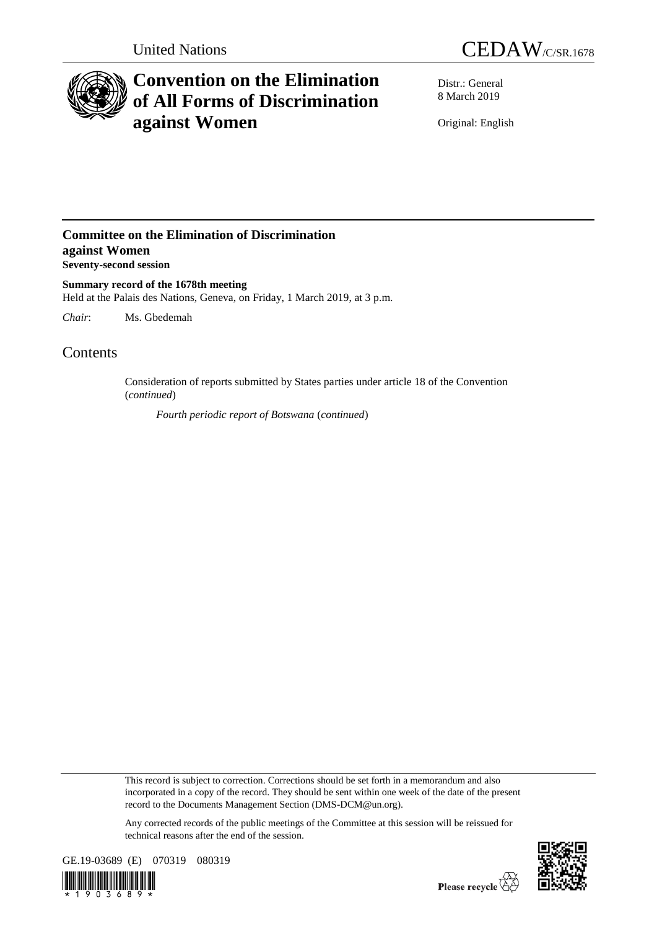



# **Convention on the Elimination of All Forms of Discrimination against Women**

Distr.: General 8 March 2019

Original: English

### **Committee on the Elimination of Discrimination against Women Seventy-second session**

**Summary record of the 1678th meeting** Held at the Palais des Nations, Geneva, on Friday, 1 March 2019, at 3 p.m.

*Chair*: Ms. Gbedemah

## **Contents**

Consideration of reports submitted by States parties under article 18 of the Convention (*continued*)

*Fourth periodic report of Botswana* (*continued*)

This record is subject to correction. Corrections should be set forth in a memorandum and also incorporated in a copy of the record. They should be sent within one week of the date of the present record to the Documents Management Section (DMS-DCM@un.org).

Any corrected records of the public meetings of the Committee at this session will be reissued for technical reasons after the end of the session.





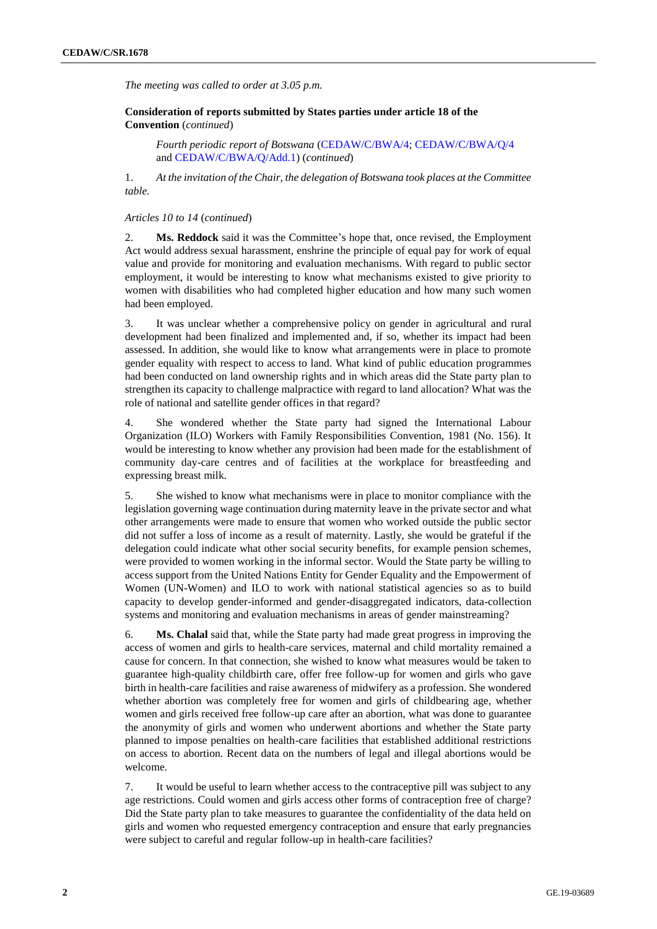*The meeting was called to order at 3.05 p.m.*

**Consideration of reports submitted by States parties under article 18 of the Convention** (*continued*)

*Fourth periodic report of Botswana* (CEDAW/C/BWA/4; CEDAW/C/BWA/Q/4 and CEDAW/C/BWA/Q/Add.1) (*continued*)

1. *At the invitation of the Chair, the delegation of Botswana took places at the Committee table.*

#### *Articles 10 to 14* (*continued*)

2. **Ms. Reddock** said it was the Committee's hope that, once revised, the Employment Act would address sexual harassment, enshrine the principle of equal pay for work of equal value and provide for monitoring and evaluation mechanisms. With regard to public sector employment, it would be interesting to know what mechanisms existed to give priority to women with disabilities who had completed higher education and how many such women had been employed.

3. It was unclear whether a comprehensive policy on gender in agricultural and rural development had been finalized and implemented and, if so, whether its impact had been assessed. In addition, she would like to know what arrangements were in place to promote gender equality with respect to access to land. What kind of public education programmes had been conducted on land ownership rights and in which areas did the State party plan to strengthen its capacity to challenge malpractice with regard to land allocation? What was the role of national and satellite gender offices in that regard?

4. She wondered whether the State party had signed the International Labour Organization (ILO) Workers with Family Responsibilities Convention, 1981 (No. 156). It would be interesting to know whether any provision had been made for the establishment of community day-care centres and of facilities at the workplace for breastfeeding and expressing breast milk.

5. She wished to know what mechanisms were in place to monitor compliance with the legislation governing wage continuation during maternity leave in the private sector and what other arrangements were made to ensure that women who worked outside the public sector did not suffer a loss of income as a result of maternity. Lastly, she would be grateful if the delegation could indicate what other social security benefits, for example pension schemes, were provided to women working in the informal sector. Would the State party be willing to access support from the United Nations Entity for Gender Equality and the Empowerment of Women (UN-Women) and ILO to work with national statistical agencies so as to build capacity to develop gender-informed and gender-disaggregated indicators, data-collection systems and monitoring and evaluation mechanisms in areas of gender mainstreaming?

6. **Ms. Chalal** said that, while the State party had made great progress in improving the access of women and girls to health-care services, maternal and child mortality remained a cause for concern. In that connection, she wished to know what measures would be taken to guarantee high-quality childbirth care, offer free follow-up for women and girls who gave birth in health-care facilities and raise awareness of midwifery as a profession. She wondered whether abortion was completely free for women and girls of childbearing age, whether women and girls received free follow-up care after an abortion, what was done to guarantee the anonymity of girls and women who underwent abortions and whether the State party planned to impose penalties on health-care facilities that established additional restrictions on access to abortion. Recent data on the numbers of legal and illegal abortions would be welcome.

7. It would be useful to learn whether access to the contraceptive pill was subject to any age restrictions. Could women and girls access other forms of contraception free of charge? Did the State party plan to take measures to guarantee the confidentiality of the data held on girls and women who requested emergency contraception and ensure that early pregnancies were subject to careful and regular follow-up in health-care facilities?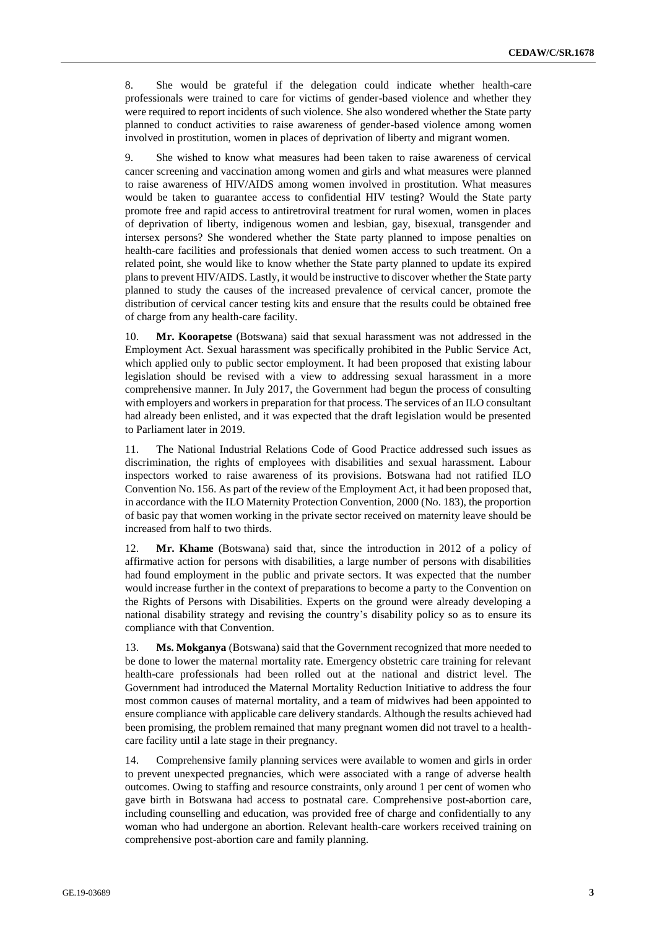8. She would be grateful if the delegation could indicate whether health-care professionals were trained to care for victims of gender-based violence and whether they were required to report incidents of such violence. She also wondered whether the State party planned to conduct activities to raise awareness of gender-based violence among women involved in prostitution, women in places of deprivation of liberty and migrant women.

9. She wished to know what measures had been taken to raise awareness of cervical cancer screening and vaccination among women and girls and what measures were planned to raise awareness of HIV/AIDS among women involved in prostitution. What measures would be taken to guarantee access to confidential HIV testing? Would the State party promote free and rapid access to antiretroviral treatment for rural women, women in places of deprivation of liberty, indigenous women and lesbian, gay, bisexual, transgender and intersex persons? She wondered whether the State party planned to impose penalties on health-care facilities and professionals that denied women access to such treatment. On a related point, she would like to know whether the State party planned to update its expired plans to prevent HIV/AIDS. Lastly, it would be instructive to discover whether the State party planned to study the causes of the increased prevalence of cervical cancer, promote the distribution of cervical cancer testing kits and ensure that the results could be obtained free of charge from any health-care facility.

10. **Mr. Koorapetse** (Botswana) said that sexual harassment was not addressed in the Employment Act. Sexual harassment was specifically prohibited in the Public Service Act, which applied only to public sector employment. It had been proposed that existing labour legislation should be revised with a view to addressing sexual harassment in a more comprehensive manner. In July 2017, the Government had begun the process of consulting with employers and workers in preparation for that process. The services of an ILO consultant had already been enlisted, and it was expected that the draft legislation would be presented to Parliament later in 2019.

11. The National Industrial Relations Code of Good Practice addressed such issues as discrimination, the rights of employees with disabilities and sexual harassment. Labour inspectors worked to raise awareness of its provisions. Botswana had not ratified ILO Convention No. 156. As part of the review of the Employment Act, it had been proposed that, in accordance with the ILO Maternity Protection Convention, 2000 (No. 183), the proportion of basic pay that women working in the private sector received on maternity leave should be increased from half to two thirds.

12. **Mr. Khame** (Botswana) said that, since the introduction in 2012 of a policy of affirmative action for persons with disabilities, a large number of persons with disabilities had found employment in the public and private sectors. It was expected that the number would increase further in the context of preparations to become a party to the Convention on the Rights of Persons with Disabilities. Experts on the ground were already developing a national disability strategy and revising the country's disability policy so as to ensure its compliance with that Convention.

13. **Ms. Mokganya** (Botswana) said that the Government recognized that more needed to be done to lower the maternal mortality rate. Emergency obstetric care training for relevant health-care professionals had been rolled out at the national and district level. The Government had introduced the Maternal Mortality Reduction Initiative to address the four most common causes of maternal mortality, and a team of midwives had been appointed to ensure compliance with applicable care delivery standards. Although the results achieved had been promising, the problem remained that many pregnant women did not travel to a healthcare facility until a late stage in their pregnancy.

14. Comprehensive family planning services were available to women and girls in order to prevent unexpected pregnancies, which were associated with a range of adverse health outcomes. Owing to staffing and resource constraints, only around 1 per cent of women who gave birth in Botswana had access to postnatal care. Comprehensive post-abortion care, including counselling and education, was provided free of charge and confidentially to any woman who had undergone an abortion. Relevant health-care workers received training on comprehensive post-abortion care and family planning.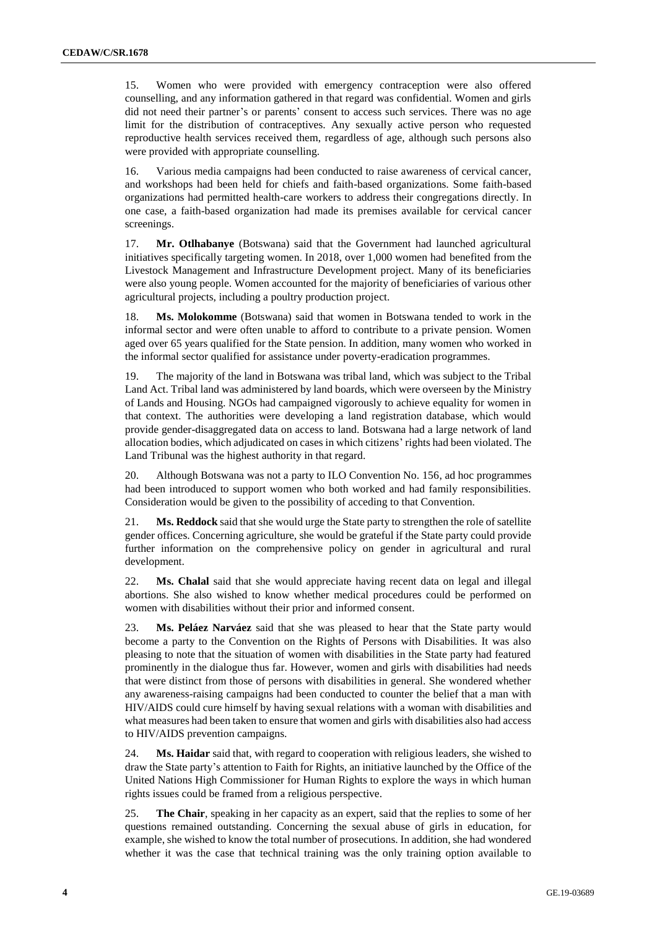15. Women who were provided with emergency contraception were also offered counselling, and any information gathered in that regard was confidential. Women and girls did not need their partner's or parents' consent to access such services. There was no age limit for the distribution of contraceptives. Any sexually active person who requested reproductive health services received them, regardless of age, although such persons also were provided with appropriate counselling.

16. Various media campaigns had been conducted to raise awareness of cervical cancer, and workshops had been held for chiefs and faith-based organizations. Some faith-based organizations had permitted health-care workers to address their congregations directly. In one case, a faith-based organization had made its premises available for cervical cancer screenings.

17. **Mr. Otlhabanye** (Botswana) said that the Government had launched agricultural initiatives specifically targeting women. In 2018, over 1,000 women had benefited from the Livestock Management and Infrastructure Development project. Many of its beneficiaries were also young people. Women accounted for the majority of beneficiaries of various other agricultural projects, including a poultry production project.

18. **Ms. Molokomme** (Botswana) said that women in Botswana tended to work in the informal sector and were often unable to afford to contribute to a private pension. Women aged over 65 years qualified for the State pension. In addition, many women who worked in the informal sector qualified for assistance under poverty-eradication programmes.

19. The majority of the land in Botswana was tribal land, which was subject to the Tribal Land Act. Tribal land was administered by land boards, which were overseen by the Ministry of Lands and Housing. NGOs had campaigned vigorously to achieve equality for women in that context. The authorities were developing a land registration database, which would provide gender-disaggregated data on access to land. Botswana had a large network of land allocation bodies, which adjudicated on cases in which citizens' rights had been violated. The Land Tribunal was the highest authority in that regard.

20. Although Botswana was not a party to ILO Convention No. 156, ad hoc programmes had been introduced to support women who both worked and had family responsibilities. Consideration would be given to the possibility of acceding to that Convention.

21. **Ms. Reddock** said that she would urge the State party to strengthen the role of satellite gender offices. Concerning agriculture, she would be grateful if the State party could provide further information on the comprehensive policy on gender in agricultural and rural development.

22. **Ms. Chalal** said that she would appreciate having recent data on legal and illegal abortions. She also wished to know whether medical procedures could be performed on women with disabilities without their prior and informed consent.

23. **Ms. Peláez Narváez** said that she was pleased to hear that the State party would become a party to the Convention on the Rights of Persons with Disabilities. It was also pleasing to note that the situation of women with disabilities in the State party had featured prominently in the dialogue thus far. However, women and girls with disabilities had needs that were distinct from those of persons with disabilities in general. She wondered whether any awareness-raising campaigns had been conducted to counter the belief that a man with HIV/AIDS could cure himself by having sexual relations with a woman with disabilities and what measures had been taken to ensure that women and girls with disabilities also had access to HIV/AIDS prevention campaigns.

24. **Ms. Haidar** said that, with regard to cooperation with religious leaders, she wished to draw the State party's attention to Faith for Rights, an initiative launched by the Office of the United Nations High Commissioner for Human Rights to explore the ways in which human rights issues could be framed from a religious perspective.

25. **The Chair**, speaking in her capacity as an expert, said that the replies to some of her questions remained outstanding. Concerning the sexual abuse of girls in education, for example, she wished to know the total number of prosecutions. In addition, she had wondered whether it was the case that technical training was the only training option available to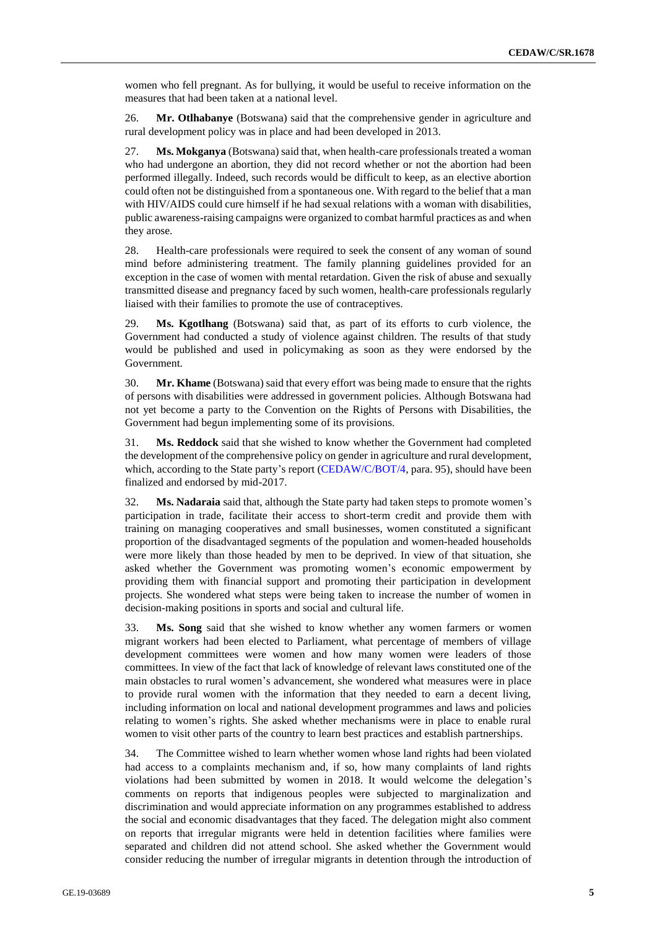women who fell pregnant. As for bullying, it would be useful to receive information on the measures that had been taken at a national level.

26. **Mr. Otlhabanye** (Botswana) said that the comprehensive gender in agriculture and rural development policy was in place and had been developed in 2013.

27. **Ms. Mokganya** (Botswana) said that, when health-care professionals treated a woman who had undergone an abortion, they did not record whether or not the abortion had been performed illegally. Indeed, such records would be difficult to keep, as an elective abortion could often not be distinguished from a spontaneous one. With regard to the belief that a man with HIV/AIDS could cure himself if he had sexual relations with a woman with disabilities, public awareness-raising campaigns were organized to combat harmful practices as and when they arose.

28. Health-care professionals were required to seek the consent of any woman of sound mind before administering treatment. The family planning guidelines provided for an exception in the case of women with mental retardation. Given the risk of abuse and sexually transmitted disease and pregnancy faced by such women, health-care professionals regularly liaised with their families to promote the use of contraceptives.

29. **Ms. Kgotlhang** (Botswana) said that, as part of its efforts to curb violence, the Government had conducted a study of violence against children. The results of that study would be published and used in policymaking as soon as they were endorsed by the Government.

30. **Mr. Khame** (Botswana) said that every effort was being made to ensure that the rights of persons with disabilities were addressed in government policies. Although Botswana had not yet become a party to the Convention on the Rights of Persons with Disabilities, the Government had begun implementing some of its provisions.

31. **Ms. Reddock** said that she wished to know whether the Government had completed the development of the comprehensive policy on gender in agriculture and rural development, which, according to the State party's report (CEDAW/C/BOT/4, para. 95), should have been finalized and endorsed by mid-2017.

32. **Ms. Nadaraia** said that, although the State party had taken steps to promote women's participation in trade, facilitate their access to short-term credit and provide them with training on managing cooperatives and small businesses, women constituted a significant proportion of the disadvantaged segments of the population and women-headed households were more likely than those headed by men to be deprived. In view of that situation, she asked whether the Government was promoting women's economic empowerment by providing them with financial support and promoting their participation in development projects. She wondered what steps were being taken to increase the number of women in decision-making positions in sports and social and cultural life.

33. **Ms. Song** said that she wished to know whether any women farmers or women migrant workers had been elected to Parliament, what percentage of members of village development committees were women and how many women were leaders of those committees. In view of the fact that lack of knowledge of relevant laws constituted one of the main obstacles to rural women's advancement, she wondered what measures were in place to provide rural women with the information that they needed to earn a decent living, including information on local and national development programmes and laws and policies relating to women's rights. She asked whether mechanisms were in place to enable rural women to visit other parts of the country to learn best practices and establish partnerships.

34. The Committee wished to learn whether women whose land rights had been violated had access to a complaints mechanism and, if so, how many complaints of land rights violations had been submitted by women in 2018. It would welcome the delegation's comments on reports that indigenous peoples were subjected to marginalization and discrimination and would appreciate information on any programmes established to address the social and economic disadvantages that they faced. The delegation might also comment on reports that irregular migrants were held in detention facilities where families were separated and children did not attend school. She asked whether the Government would consider reducing the number of irregular migrants in detention through the introduction of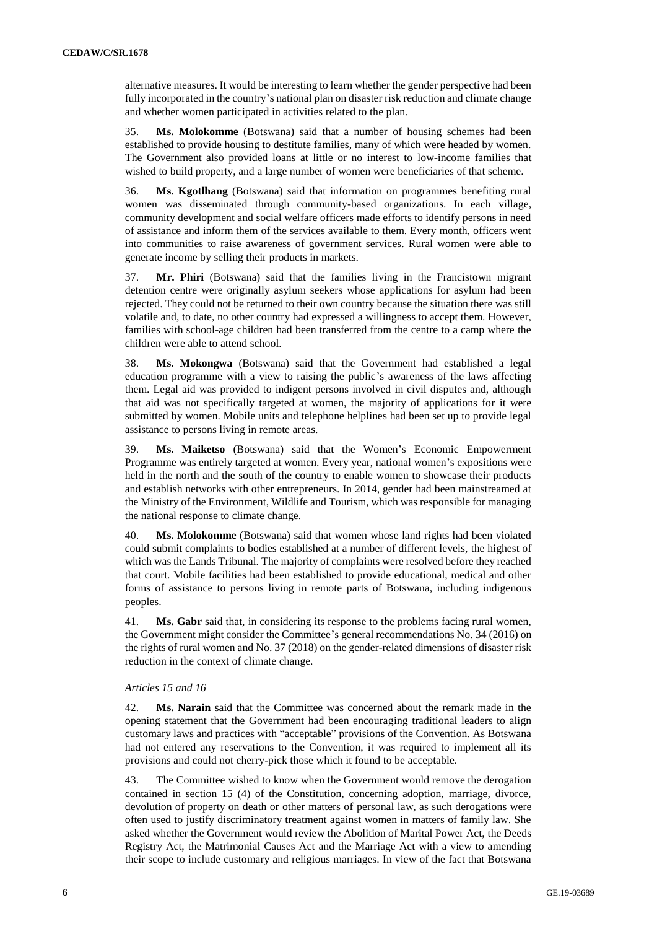alternative measures. It would be interesting to learn whether the gender perspective had been fully incorporated in the country's national plan on disaster risk reduction and climate change and whether women participated in activities related to the plan.

35. **Ms. Molokomme** (Botswana) said that a number of housing schemes had been established to provide housing to destitute families, many of which were headed by women. The Government also provided loans at little or no interest to low-income families that wished to build property, and a large number of women were beneficiaries of that scheme.

36. **Ms. Kgotlhang** (Botswana) said that information on programmes benefiting rural women was disseminated through community-based organizations. In each village, community development and social welfare officers made efforts to identify persons in need of assistance and inform them of the services available to them. Every month, officers went into communities to raise awareness of government services. Rural women were able to generate income by selling their products in markets.

37. **Mr. Phiri** (Botswana) said that the families living in the Francistown migrant detention centre were originally asylum seekers whose applications for asylum had been rejected. They could not be returned to their own country because the situation there was still volatile and, to date, no other country had expressed a willingness to accept them. However, families with school-age children had been transferred from the centre to a camp where the children were able to attend school.

38. **Ms. Mokongwa** (Botswana) said that the Government had established a legal education programme with a view to raising the public's awareness of the laws affecting them. Legal aid was provided to indigent persons involved in civil disputes and, although that aid was not specifically targeted at women, the majority of applications for it were submitted by women. Mobile units and telephone helplines had been set up to provide legal assistance to persons living in remote areas.

39. **Ms. Maiketso** (Botswana) said that the Women's Economic Empowerment Programme was entirely targeted at women. Every year, national women's expositions were held in the north and the south of the country to enable women to showcase their products and establish networks with other entrepreneurs. In 2014, gender had been mainstreamed at the Ministry of the Environment, Wildlife and Tourism, which was responsible for managing the national response to climate change.

40. **Ms. Molokomme** (Botswana) said that women whose land rights had been violated could submit complaints to bodies established at a number of different levels, the highest of which was the Lands Tribunal. The majority of complaints were resolved before they reached that court. Mobile facilities had been established to provide educational, medical and other forms of assistance to persons living in remote parts of Botswana, including indigenous peoples.

41. **Ms. Gabr** said that, in considering its response to the problems facing rural women, the Government might consider the Committee's general recommendations No. 34 (2016) on the rights of rural women and No. 37 (2018) on the gender-related dimensions of disaster risk reduction in the context of climate change.

### *Articles 15 and 16*

42. **Ms. Narain** said that the Committee was concerned about the remark made in the opening statement that the Government had been encouraging traditional leaders to align customary laws and practices with "acceptable" provisions of the Convention. As Botswana had not entered any reservations to the Convention, it was required to implement all its provisions and could not cherry-pick those which it found to be acceptable.

43. The Committee wished to know when the Government would remove the derogation contained in section 15 (4) of the Constitution, concerning adoption, marriage, divorce, devolution of property on death or other matters of personal law, as such derogations were often used to justify discriminatory treatment against women in matters of family law. She asked whether the Government would review the Abolition of Marital Power Act, the Deeds Registry Act, the Matrimonial Causes Act and the Marriage Act with a view to amending their scope to include customary and religious marriages. In view of the fact that Botswana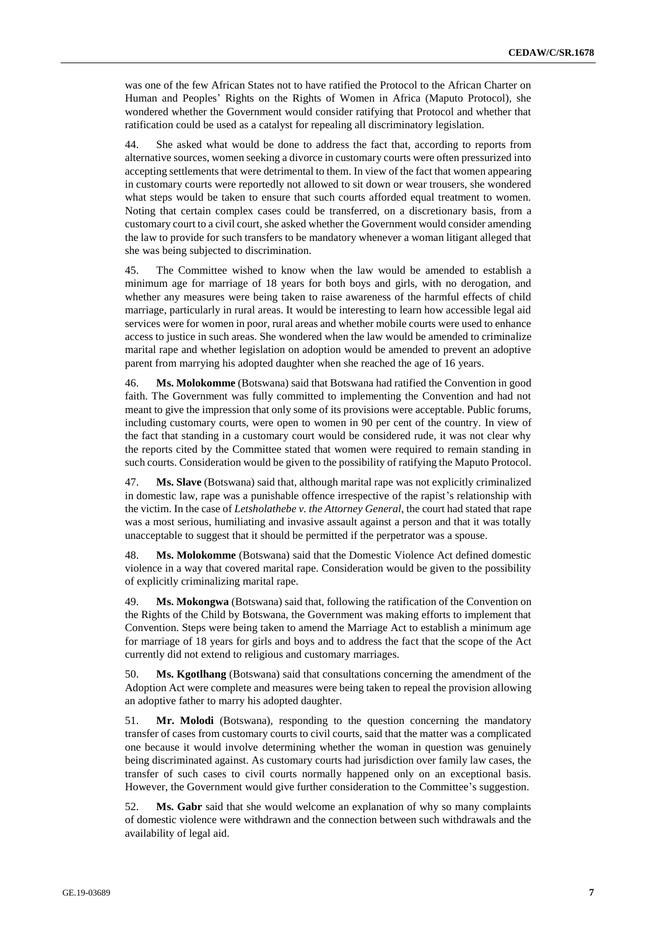was one of the few African States not to have ratified the Protocol to the African Charter on Human and Peoples' Rights on the Rights of Women in Africa (Maputo Protocol), she wondered whether the Government would consider ratifying that Protocol and whether that ratification could be used as a catalyst for repealing all discriminatory legislation.

44. She asked what would be done to address the fact that, according to reports from alternative sources, women seeking a divorce in customary courts were often pressurized into accepting settlements that were detrimental to them. In view of the fact that women appearing in customary courts were reportedly not allowed to sit down or wear trousers, she wondered what steps would be taken to ensure that such courts afforded equal treatment to women. Noting that certain complex cases could be transferred, on a discretionary basis, from a customary court to a civil court, she asked whether the Government would consider amending the law to provide for such transfers to be mandatory whenever a woman litigant alleged that she was being subjected to discrimination.

45. The Committee wished to know when the law would be amended to establish a minimum age for marriage of 18 years for both boys and girls, with no derogation, and whether any measures were being taken to raise awareness of the harmful effects of child marriage, particularly in rural areas. It would be interesting to learn how accessible legal aid services were for women in poor, rural areas and whether mobile courts were used to enhance access to justice in such areas. She wondered when the law would be amended to criminalize marital rape and whether legislation on adoption would be amended to prevent an adoptive parent from marrying his adopted daughter when she reached the age of 16 years.

46. **Ms. Molokomme** (Botswana) said that Botswana had ratified the Convention in good faith. The Government was fully committed to implementing the Convention and had not meant to give the impression that only some of its provisions were acceptable. Public forums, including customary courts, were open to women in 90 per cent of the country. In view of the fact that standing in a customary court would be considered rude, it was not clear why the reports cited by the Committee stated that women were required to remain standing in such courts. Consideration would be given to the possibility of ratifying the Maputo Protocol.

47. **Ms. Slave** (Botswana) said that, although marital rape was not explicitly criminalized in domestic law, rape was a punishable offence irrespective of the rapist's relationship with the victim. In the case of *Letsholathebe v. the Attorney General*, the court had stated that rape was a most serious, humiliating and invasive assault against a person and that it was totally unacceptable to suggest that it should be permitted if the perpetrator was a spouse.

48. **Ms. Molokomme** (Botswana) said that the Domestic Violence Act defined domestic violence in a way that covered marital rape. Consideration would be given to the possibility of explicitly criminalizing marital rape.

49. **Ms. Mokongwa** (Botswana) said that, following the ratification of the Convention on the Rights of the Child by Botswana, the Government was making efforts to implement that Convention. Steps were being taken to amend the Marriage Act to establish a minimum age for marriage of 18 years for girls and boys and to address the fact that the scope of the Act currently did not extend to religious and customary marriages.

50. **Ms. Kgotlhang** (Botswana) said that consultations concerning the amendment of the Adoption Act were complete and measures were being taken to repeal the provision allowing an adoptive father to marry his adopted daughter.

51. **Mr. Molodi** (Botswana), responding to the question concerning the mandatory transfer of cases from customary courts to civil courts, said that the matter was a complicated one because it would involve determining whether the woman in question was genuinely being discriminated against. As customary courts had jurisdiction over family law cases, the transfer of such cases to civil courts normally happened only on an exceptional basis. However, the Government would give further consideration to the Committee's suggestion.

52. **Ms. Gabr** said that she would welcome an explanation of why so many complaints of domestic violence were withdrawn and the connection between such withdrawals and the availability of legal aid.